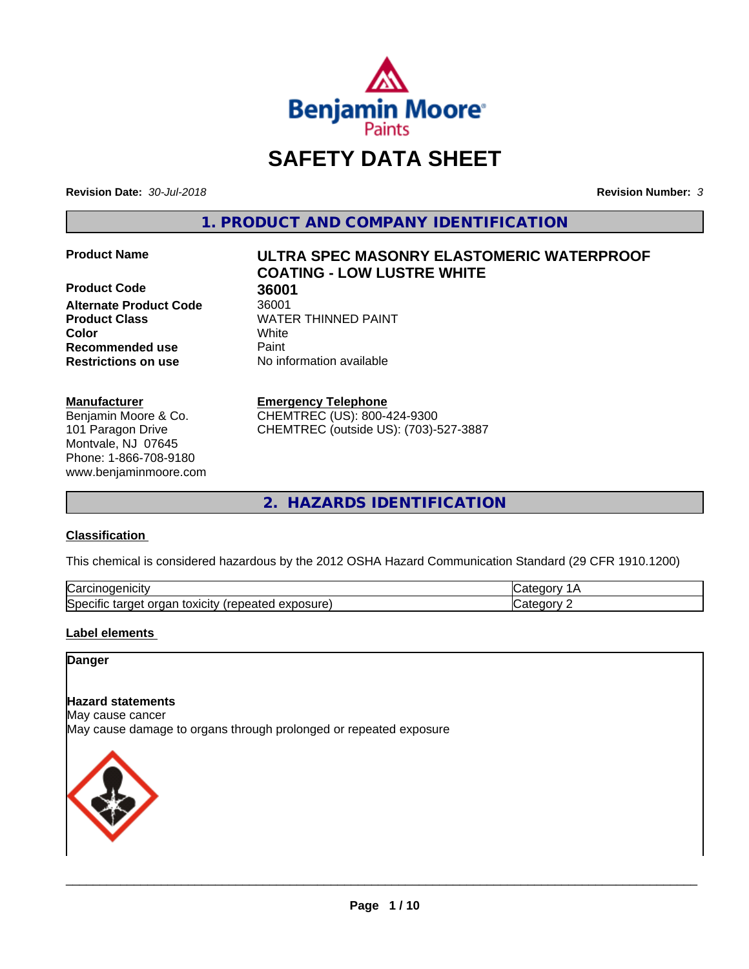

# **SAFETY DATA SHEET**

**Revision Date:** *30-Jul-2018* **Revision Number:** *3*

**1. PRODUCT AND COMPANY IDENTIFICATION**

**Product Code 36001**<br>**Alternate Product Code** 36001 **Alternate Product Code Product Class WATER THINNED PAINT Recommended use** Paint **Restrictions on use** No information available

### **Manufacturer**

Benjamin Moore & Co. 101 Paragon Drive Montvale, NJ 07645 Phone: 1-866-708-9180 www.benjaminmoore.com

# **Product Name ULTRA SPEC MASONRY ELASTOMERIC WATERPROOF COATING - LOW LUSTRE WHITE**

**Color** White

# **Emergency Telephone**

CHEMTREC (US): 800-424-9300 CHEMTREC (outside US): (703)-527-3887

**2. HAZARDS IDENTIFICATION**

# **Classification**

This chemical is considered hazardous by the 2012 OSHA Hazard Communication Standard (29 CFR 1910.1200)

| ∽<br>-----<br>∪ar<br>нсн<br>                                                              |  |
|-------------------------------------------------------------------------------------------|--|
| osure<br>.<br>toxicity<br>50er<br>orgar<br>arner -<br>$\cdots$<br>.<br>ши<br>59160<br>ᇢᅀᄓ |  |

# **Label elements**

# **Danger**

### **Hazard statements**

May cause cancer

May cause damage to organs through prolonged or repeated exposure

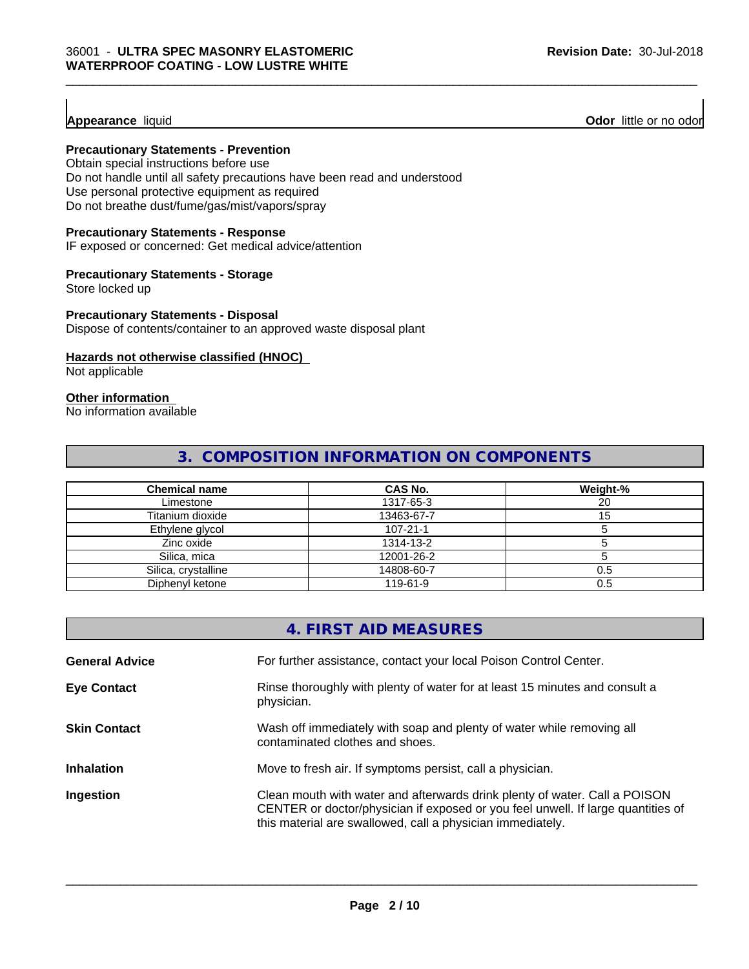**Appearance** liquid **Odor 11** Odor little or no odor

# **Precautionary Statements - Prevention**

Obtain special instructions before use Do not handle until all safety precautions have been read and understood Use personal protective equipment as required Do not breathe dust/fume/gas/mist/vapors/spray

#### **Precautionary Statements - Response**

IF exposed or concerned: Get medical advice/attention

#### **Precautionary Statements - Storage**

Store locked up

#### **Precautionary Statements - Disposal**

Dispose of contents/container to an approved waste disposal plant

# **Hazards not otherwise classified (HNOC)**

Not applicable

# **Other information**

No information available

# **3. COMPOSITION INFORMATION ON COMPONENTS**

| <b>Chemical name</b> | CAS No.    | Weight-% |
|----------------------|------------|----------|
| Limestone            | 1317-65-3  | 20       |
| Titanium dioxide     | 13463-67-7 |          |
| Ethylene glycol      | 107-21-1   |          |
| Zinc oxide           | 1314-13-2  |          |
| Silica, mica         | 12001-26-2 |          |
| Silica, crystalline  | 14808-60-7 | 0.5      |
| Diphenyl ketone      | 119-61-9   | 0.5      |

|                       | 4. FIRST AID MEASURES                                                                                                                                                                                                        |
|-----------------------|------------------------------------------------------------------------------------------------------------------------------------------------------------------------------------------------------------------------------|
| <b>General Advice</b> | For further assistance, contact your local Poison Control Center.                                                                                                                                                            |
| <b>Eye Contact</b>    | Rinse thoroughly with plenty of water for at least 15 minutes and consult a<br>physician.                                                                                                                                    |
| <b>Skin Contact</b>   | Wash off immediately with soap and plenty of water while removing all<br>contaminated clothes and shoes.                                                                                                                     |
| <b>Inhalation</b>     | Move to fresh air. If symptoms persist, call a physician.                                                                                                                                                                    |
| Ingestion             | Clean mouth with water and afterwards drink plenty of water. Call a POISON<br>CENTER or doctor/physician if exposed or you feel unwell. If large quantities of<br>this material are swallowed, call a physician immediately. |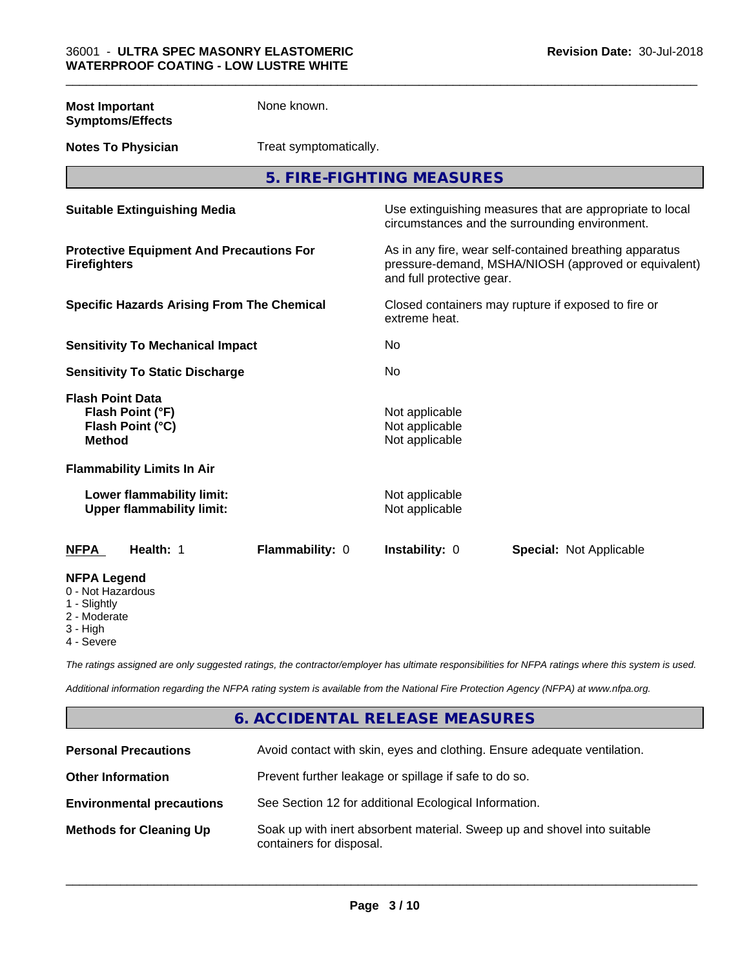| <b>Most Important</b><br><b>Symptoms/Effects</b>                                 | None known.                                     |                                                    |                                                                                                                                              |  |  |
|----------------------------------------------------------------------------------|-------------------------------------------------|----------------------------------------------------|----------------------------------------------------------------------------------------------------------------------------------------------|--|--|
| <b>Notes To Physician</b>                                                        |                                                 | Treat symptomatically.                             |                                                                                                                                              |  |  |
|                                                                                  |                                                 | 5. FIRE-FIGHTING MEASURES                          |                                                                                                                                              |  |  |
| <b>Suitable Extinguishing Media</b>                                              |                                                 |                                                    | Use extinguishing measures that are appropriate to local<br>circumstances and the surrounding environment.                                   |  |  |
| <b>Firefighters</b>                                                              | <b>Protective Equipment And Precautions For</b> |                                                    | As in any fire, wear self-contained breathing apparatus<br>pressure-demand, MSHA/NIOSH (approved or equivalent)<br>and full protective gear. |  |  |
| <b>Specific Hazards Arising From The Chemical</b>                                |                                                 | extreme heat.                                      | Closed containers may rupture if exposed to fire or                                                                                          |  |  |
| <b>Sensitivity To Mechanical Impact</b>                                          |                                                 | No                                                 |                                                                                                                                              |  |  |
| <b>Sensitivity To Static Discharge</b>                                           |                                                 | No                                                 |                                                                                                                                              |  |  |
| <b>Flash Point Data</b><br>Flash Point (°F)<br>Flash Point (°C)<br><b>Method</b> |                                                 | Not applicable<br>Not applicable<br>Not applicable |                                                                                                                                              |  |  |
| <b>Flammability Limits In Air</b>                                                |                                                 |                                                    |                                                                                                                                              |  |  |
| Lower flammability limit:<br><b>Upper flammability limit:</b>                    |                                                 | Not applicable<br>Not applicable                   |                                                                                                                                              |  |  |
| Health: 1<br><b>NFPA</b>                                                         | Flammability: 0                                 | Instability: 0                                     | <b>Special: Not Applicable</b>                                                                                                               |  |  |
| <b>NFPA Legend</b><br>0 - Not Hazardous<br>1 - Slightly<br>2 Moderate            |                                                 |                                                    |                                                                                                                                              |  |  |

- 2 Moderate
- 3 High
- 4 Severe

*The ratings assigned are only suggested ratings, the contractor/employer has ultimate responsibilities for NFPA ratings where this system is used.*

*Additional information regarding the NFPA rating system is available from the National Fire Protection Agency (NFPA) at www.nfpa.org.*

# **6. ACCIDENTAL RELEASE MEASURES**

| <b>Personal Precautions</b>      | Avoid contact with skin, eyes and clothing. Ensure adequate ventilation.                             |
|----------------------------------|------------------------------------------------------------------------------------------------------|
| <b>Other Information</b>         | Prevent further leakage or spillage if safe to do so.                                                |
| <b>Environmental precautions</b> | See Section 12 for additional Ecological Information.                                                |
| <b>Methods for Cleaning Up</b>   | Soak up with inert absorbent material. Sweep up and shovel into suitable<br>containers for disposal. |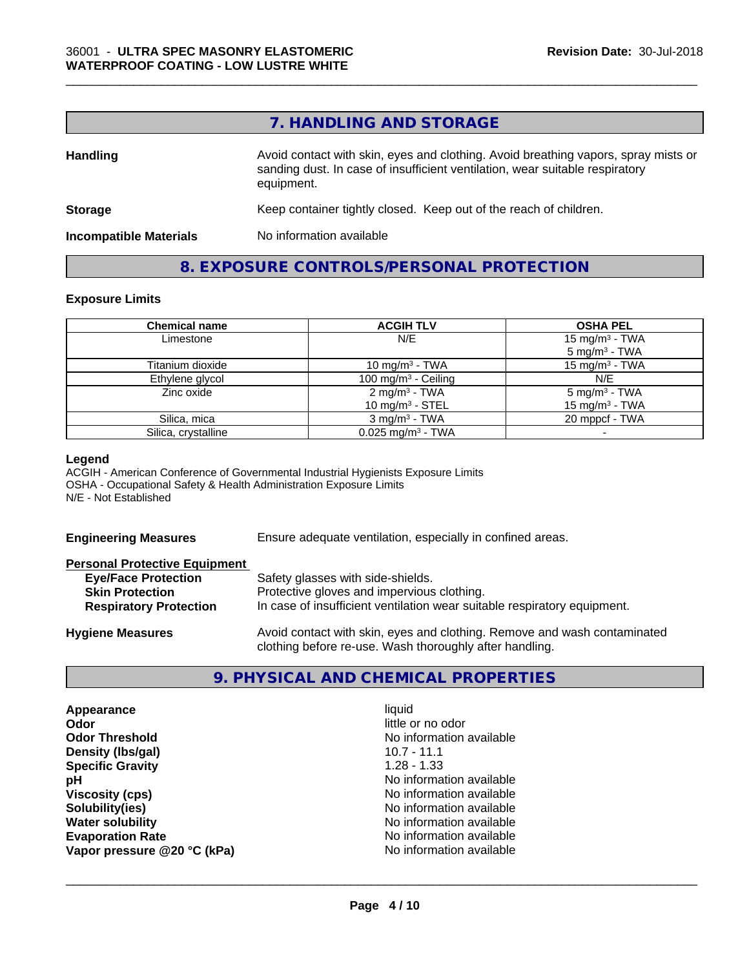# **7. HANDLING AND STORAGE**

\_\_\_\_\_\_\_\_\_\_\_\_\_\_\_\_\_\_\_\_\_\_\_\_\_\_\_\_\_\_\_\_\_\_\_\_\_\_\_\_\_\_\_\_\_\_\_\_\_\_\_\_\_\_\_\_\_\_\_\_\_\_\_\_\_\_\_\_\_\_\_\_\_\_\_\_\_\_\_\_\_\_\_\_\_\_\_\_\_\_\_\_\_

| <b>Handling</b>               | Avoid contact with skin, eyes and clothing. Avoid breathing vapors, spray mists or<br>sanding dust. In case of insufficient ventilation, wear suitable respiratory<br>equipment. |
|-------------------------------|----------------------------------------------------------------------------------------------------------------------------------------------------------------------------------|
| <b>Storage</b>                | Keep container tightly closed. Keep out of the reach of children.                                                                                                                |
| <b>Incompatible Materials</b> | No information available                                                                                                                                                         |

# **8. EXPOSURE CONTROLS/PERSONAL PROTECTION**

#### **Exposure Limits**

| <b>Chemical name</b> | <b>ACGIH TLV</b>                                | <b>OSHA PEL</b>                                        |
|----------------------|-------------------------------------------------|--------------------------------------------------------|
| Limestone            | N/E                                             | 15 mg/m <sup>3</sup> - TWA<br>$5 \text{ mg/m}^3$ - TWA |
| Titanium dioxide     | 10 mg/m <sup>3</sup> - TWA                      | $15 \text{ mg/m}^3$ - TWA                              |
| Ethylene glycol      | 100 mg/m $3$ - Ceiling                          | N/E                                                    |
| Zinc oxide           | 2 mg/m <sup>3</sup> - TWA<br>10 mg/m $3$ - STEL | $5 \text{ mg/m}^3$ - TWA<br>15 mg/m $3$ - TWA          |
| Silica, mica         | $3 \text{ ma/m}^3$ - TWA                        | 20 mppcf - TWA                                         |
| Silica, crystalline  | $0.025$ mg/m <sup>3</sup> - TWA                 |                                                        |

#### **Legend**

ACGIH - American Conference of Governmental Industrial Hygienists Exposure Limits OSHA - Occupational Safety & Health Administration Exposure Limits N/E - Not Established

**Engineering Measures** Ensure adequate ventilation, especially in confined areas.

| <b>Personal Protective Equipment</b> |                                                                          |
|--------------------------------------|--------------------------------------------------------------------------|
| <b>Eye/Face Protection</b>           | Safety glasses with side-shields.                                        |
| <b>Skin Protection</b>               | Protective gloves and impervious clothing.                               |
| <b>Respiratory Protection</b>        | In case of insufficient ventilation wear suitable respiratory equipment. |
| Hyniana Massurge                     | Avoid contact with skin, eves and clothing. Remove and wash contaminated |

**Hygiene Measures** Avoid contact with skin, eyes and clothing. Remove and wash contaminated clothing before re-use. Wash thoroughly after handling.

# **9. PHYSICAL AND CHEMICAL PROPERTIES**

**Appearance** liquid **Odor** little or no odor **Odor Threshold** No information available **Density (lbs/gal)** 10.7 - 11.1 **Specific Gravity** 1.28 - 1.33 **pH** No information available **Viscosity (cps)** No information available **Solubility(ies)**<br> **No information available**<br> **Water solubility**<br> **Water solubility Evaporation Rate** Note 2008 and 2009 Monomial Monomial No information available **Vapor pressure @20 °C (kPa)** No information available

**No information available**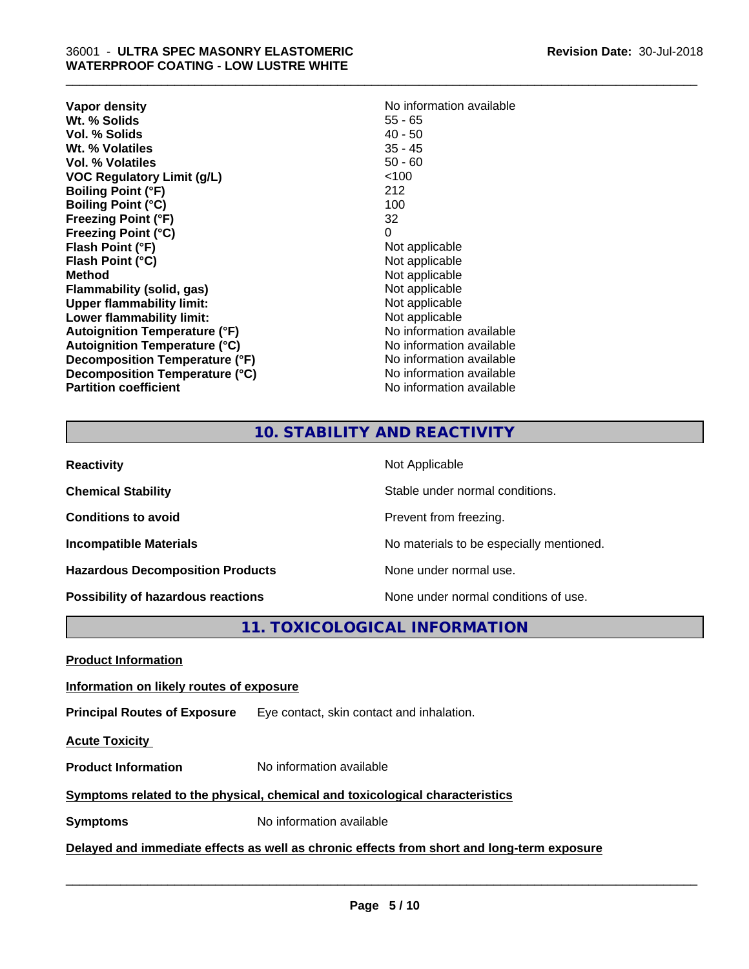| Vapor density                                                      | No information available         |
|--------------------------------------------------------------------|----------------------------------|
| Wt. % Solids                                                       | $55 - 65$                        |
| Vol. % Solids                                                      | $40 - 50$                        |
| Wt. % Volatiles                                                    | $35 - 45$                        |
| Vol. % Volatiles                                                   | $50 - 60$                        |
| <b>VOC Regulatory Limit (g/L)</b>                                  | 100                              |
| <b>Boiling Point (°F)</b>                                          | 212                              |
| <b>Boiling Point (°C)</b><br><b>Freezing Point (°F)</b>            | 100<br>32<br>0                   |
| <b>Freezing Point (°C)</b><br>Flash Point (°F)<br>Flash Point (°C) | Not applicable<br>Not applicable |
| Method                                                             | Not applicable                   |
| Flammability (solid, gas)                                          | Not applicable                   |
| <b>Upper flammability limit:</b>                                   | Not applicable                   |
| Lower flammability limit:                                          | Not applicable                   |
| <b>Autoignition Temperature (°F)</b>                               | No information available         |
| <b>Autoignition Temperature (°C)</b>                               | No information available         |
| Decomposition Temperature (°F)                                     | No information available         |
| Decomposition Temperature (°C)                                     | No information available         |
| <b>Partition coefficient</b>                                       | No information available         |

# **No information available**<br>55 - 65 **Not applicable Not applicable Not applicable Flammability (solid, gas)** Not applicable **Not applicable Not applicable No information available Autoignition Temperature (°C)** No information available **No information available No information available No information available**

\_\_\_\_\_\_\_\_\_\_\_\_\_\_\_\_\_\_\_\_\_\_\_\_\_\_\_\_\_\_\_\_\_\_\_\_\_\_\_\_\_\_\_\_\_\_\_\_\_\_\_\_\_\_\_\_\_\_\_\_\_\_\_\_\_\_\_\_\_\_\_\_\_\_\_\_\_\_\_\_\_\_\_\_\_\_\_\_\_\_\_\_\_

# **10. STABILITY AND REACTIVITY**

| <b>Reactivity</b>                         | Not Applicable                           |
|-------------------------------------------|------------------------------------------|
| <b>Chemical Stability</b>                 | Stable under normal conditions.          |
| <b>Conditions to avoid</b>                | Prevent from freezing.                   |
| <b>Incompatible Materials</b>             | No materials to be especially mentioned. |
| <b>Hazardous Decomposition Products</b>   | None under normal use.                   |
| <b>Possibility of hazardous reactions</b> | None under normal conditions of use.     |

**11. TOXICOLOGICAL INFORMATION**

**Product Information**

# **Information on likely routes of exposure**

**Principal Routes of Exposure** Eye contact, skin contact and inhalation.

**Acute Toxicity** 

**Product Information** No information available

**Symptoms related to the physical,chemical and toxicological characteristics**

**Symptoms** No information available

**Delayed and immediate effects as well as chronic effects from short and long-term exposure**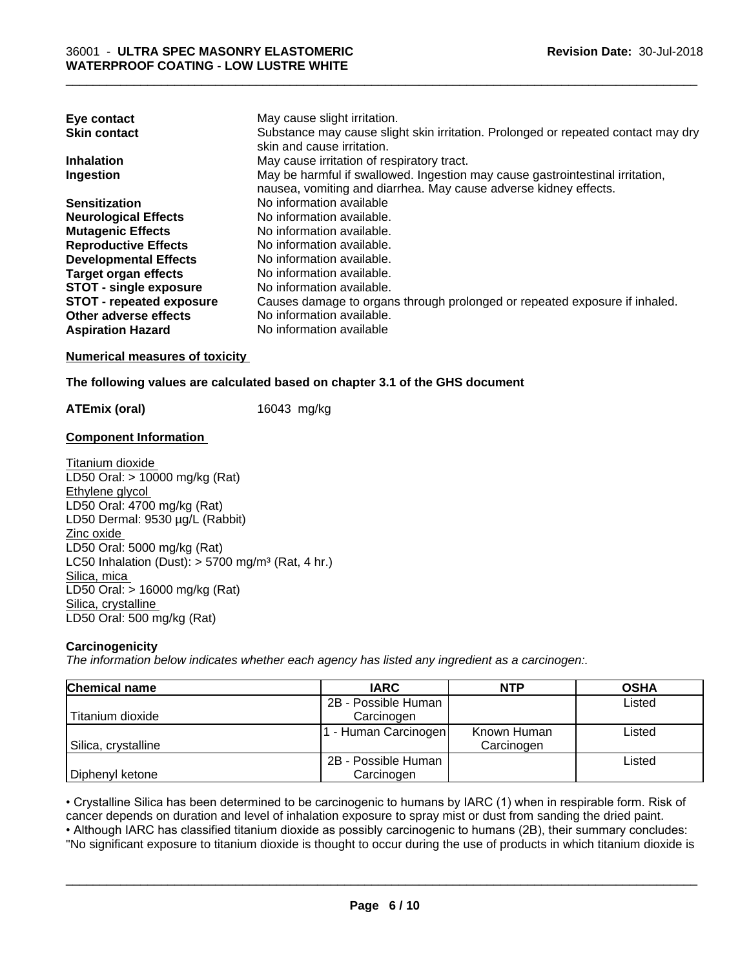| May cause slight irritation.                                                      |
|-----------------------------------------------------------------------------------|
| Substance may cause slight skin irritation. Prolonged or repeated contact may dry |
| skin and cause irritation.                                                        |
| May cause irritation of respiratory tract.                                        |
| May be harmful if swallowed. Ingestion may cause gastrointestinal irritation,     |
| nausea, vomiting and diarrhea. May cause adverse kidney effects.                  |
| No information available                                                          |
| No information available.                                                         |
| No information available.                                                         |
| No information available.                                                         |
| No information available.                                                         |
| No information available.                                                         |
| No information available.                                                         |
| Causes damage to organs through prolonged or repeated exposure if inhaled.        |
| No information available.                                                         |
| No information available                                                          |
|                                                                                   |

# **Numerical measures of toxicity**

# **The following values are calculated based on chapter 3.1 of the GHS document**

**ATEmix (oral)** 16043 mg/kg

# **Component Information**

Titanium dioxide LD50 Oral: > 10000 mg/kg (Rat) Ethylene glycol LD50 Oral: 4700 mg/kg (Rat) LD50 Dermal: 9530 µg/L (Rabbit) Zinc oxide LD50 Oral: 5000 mg/kg (Rat) LC50 Inhalation (Dust):  $> 5700$  mg/m<sup>3</sup> (Rat, 4 hr.) Silica, mica LD50 Oral: > 16000 mg/kg (Rat) Silica, crystalline LD50 Oral: 500 mg/kg (Rat)

# **Carcinogenicity**

*The information below indicateswhether each agency has listed any ingredient as a carcinogen:.*

| <b>Chemical name</b> | <b>IARC</b>         | <b>NTP</b>  | <b>OSHA</b> |
|----------------------|---------------------|-------------|-------------|
|                      | 2B - Possible Human |             | Listed      |
| Titanium dioxide     | Carcinogen          |             |             |
|                      | - Human Carcinogen  | Known Human | Listed      |
| Silica, crystalline  |                     | Carcinogen  |             |
|                      | 2B - Possible Human |             | Listed      |
| Diphenyl ketone      | Carcinogen          |             |             |

• Crystalline Silica has been determined to be carcinogenic to humans by IARC (1) when in respirable form. Risk of cancer depends on duration and level of inhalation exposure to spray mist or dust from sanding the dried pa cancer depends on duration and level of inhalation exposure to spray mist or dust from sanding the dried paint.

• Although IARC has classified titanium dioxide as possibly carcinogenic to humans (2B), their summary concludes: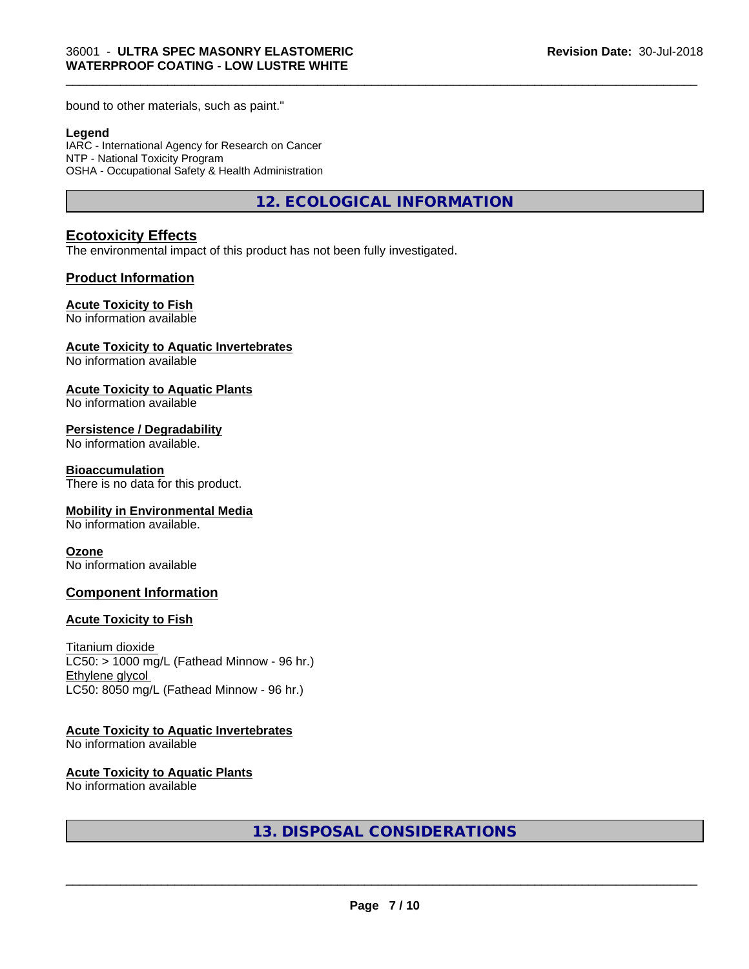bound to other materials, such as paint."

#### **Legend**

IARC - International Agency for Research on Cancer NTP - National Toxicity Program OSHA - Occupational Safety & Health Administration

**12. ECOLOGICAL INFORMATION**

\_\_\_\_\_\_\_\_\_\_\_\_\_\_\_\_\_\_\_\_\_\_\_\_\_\_\_\_\_\_\_\_\_\_\_\_\_\_\_\_\_\_\_\_\_\_\_\_\_\_\_\_\_\_\_\_\_\_\_\_\_\_\_\_\_\_\_\_\_\_\_\_\_\_\_\_\_\_\_\_\_\_\_\_\_\_\_\_\_\_\_\_\_

# **Ecotoxicity Effects**

The environmental impact of this product has not been fully investigated.

# **Product Information**

### **Acute Toxicity to Fish**

No information available

#### **Acute Toxicity to Aquatic Invertebrates**

No information available

#### **Acute Toxicity to Aquatic Plants**

No information available

#### **Persistence / Degradability**

No information available.

#### **Bioaccumulation**

There is no data for this product.

#### **Mobility in Environmental Media**

No information available.

#### **Ozone**

No information available

### **Component Information**

#### **Acute Toxicity to Fish**

Titanium dioxide  $LC50:$  > 1000 mg/L (Fathead Minnow - 96 hr.) Ethylene glycol LC50: 8050 mg/L (Fathead Minnow - 96 hr.)

### **Acute Toxicity to Aquatic Invertebrates**

No information available

#### **Acute Toxicity to Aquatic Plants**

No information available

**13. DISPOSAL CONSIDERATIONS**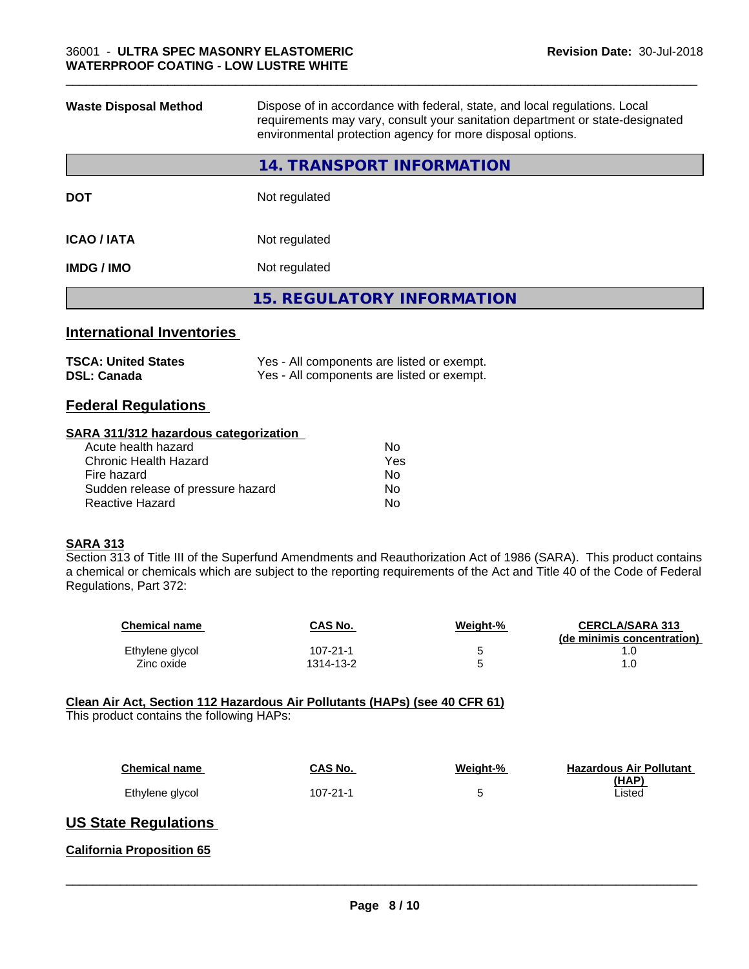| <b>Waste Disposal Method</b>       | Dispose of in accordance with federal, state, and local regulations. Local<br>requirements may vary, consult your sanitation department or state-designated<br>environmental protection agency for more disposal options. |  |
|------------------------------------|---------------------------------------------------------------------------------------------------------------------------------------------------------------------------------------------------------------------------|--|
|                                    | <b>14. TRANSPORT INFORMATION</b>                                                                                                                                                                                          |  |
| <b>DOT</b>                         | Not regulated                                                                                                                                                                                                             |  |
| <b>ICAO / IATA</b>                 | Not regulated                                                                                                                                                                                                             |  |
| <b>IMDG / IMO</b><br>Not regulated |                                                                                                                                                                                                                           |  |
|                                    | <b>15. REGULATORY INFORMATION</b>                                                                                                                                                                                         |  |
|                                    |                                                                                                                                                                                                                           |  |

\_\_\_\_\_\_\_\_\_\_\_\_\_\_\_\_\_\_\_\_\_\_\_\_\_\_\_\_\_\_\_\_\_\_\_\_\_\_\_\_\_\_\_\_\_\_\_\_\_\_\_\_\_\_\_\_\_\_\_\_\_\_\_\_\_\_\_\_\_\_\_\_\_\_\_\_\_\_\_\_\_\_\_\_\_\_\_\_\_\_\_\_\_

# **International Inventories**

| <b>TSCA: United States</b> | Yes - All components are listed or exempt. |
|----------------------------|--------------------------------------------|
| <b>DSL: Canada</b>         | Yes - All components are listed or exempt. |

# **Federal Regulations**

#### **SARA 311/312 hazardous categorization**

| No  |
|-----|
| Yes |
| No  |
| Nο  |
| N٥  |
|     |

### **SARA 313**

Section 313 of Title III of the Superfund Amendments and Reauthorization Act of 1986 (SARA). This product contains a chemical or chemicals which are subject to the reporting requirements of the Act and Title 40 of the Code of Federal Regulations, Part 372:

| <b>Chemical name</b> | CAS No.   | Weight-% | <b>CERCLA/SARA 313</b><br>(de minimis concentration) |
|----------------------|-----------|----------|------------------------------------------------------|
| Ethylene glycol      | 107-21-1  |          |                                                      |
| Zinc oxide           | 1314-13-2 |          |                                                      |

## **Clean Air Act,Section 112 Hazardous Air Pollutants (HAPs) (see 40 CFR 61)**

This product contains the following HAPs:

| <b>Chemical name</b> | CAS No.  | Weight-% | <b>Hazardous Air Pollutant</b><br>(HAP) |
|----------------------|----------|----------|-----------------------------------------|
| Ethylene glycol      | 107-21-1 |          | Listed                                  |

# **US State Regulations**

**California Proposition 65**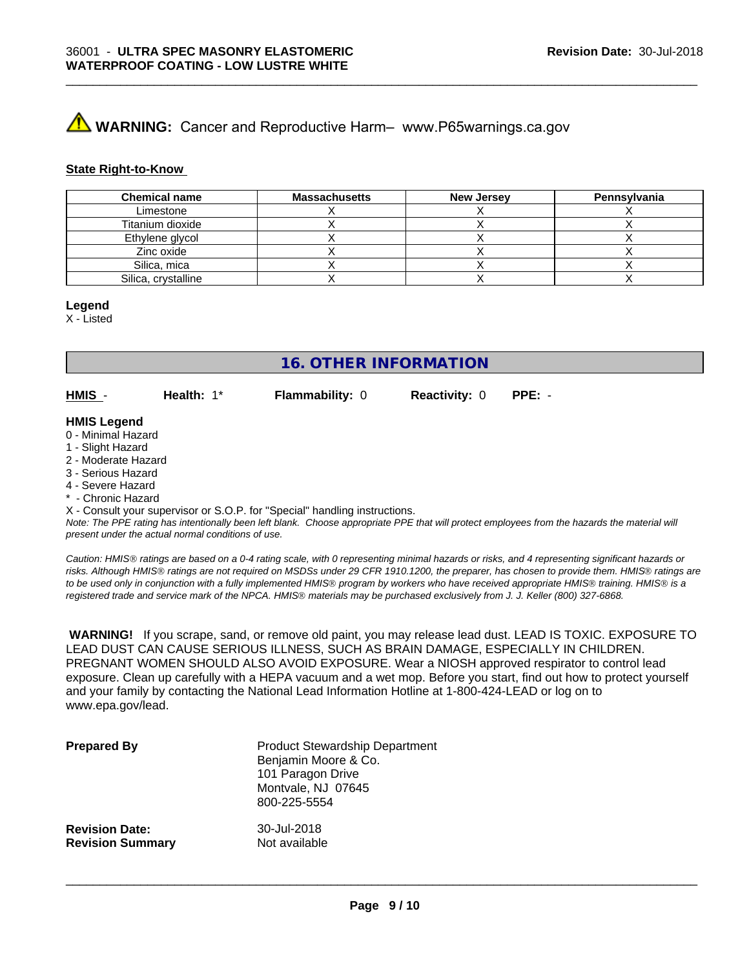# **A** WARNING: Cancer and Reproductive Harm– www.P65warnings.ca.gov

#### **State Right-to-Know**

| <b>Chemical name</b> | <b>Massachusetts</b> | <b>New Jersey</b> | Pennsylvania |
|----------------------|----------------------|-------------------|--------------|
| Limestone            |                      |                   |              |
| Titanium dioxide     |                      |                   |              |
| Ethylene glycol      |                      |                   |              |
| Zinc oxide           |                      |                   |              |
| Silica, mica         |                      |                   |              |
| Silica, crystalline  |                      |                   |              |

\_\_\_\_\_\_\_\_\_\_\_\_\_\_\_\_\_\_\_\_\_\_\_\_\_\_\_\_\_\_\_\_\_\_\_\_\_\_\_\_\_\_\_\_\_\_\_\_\_\_\_\_\_\_\_\_\_\_\_\_\_\_\_\_\_\_\_\_\_\_\_\_\_\_\_\_\_\_\_\_\_\_\_\_\_\_\_\_\_\_\_\_\_

### **Legend**

X - Listed

**16. OTHER INFORMATION**

**HMIS** - **Health:** 1\* **Flammability:** 0 **Reactivity:** 0 **PPE:** -

#### **HMIS Legend**

- 0 Minimal Hazard
- 1 Slight Hazard
- 2 Moderate Hazard
- 3 Serious Hazard
- 4 Severe Hazard
- Chronic Hazard

X - Consult your supervisor or S.O.P. for "Special" handling instructions.

*Note: The PPE rating has intentionally been left blank. Choose appropriate PPE that will protect employees from the hazards the material will present under the actual normal conditions of use.*

*Caution: HMISÒ ratings are based on a 0-4 rating scale, with 0 representing minimal hazards or risks, and 4 representing significant hazards or risks. Although HMISÒ ratings are not required on MSDSs under 29 CFR 1910.1200, the preparer, has chosen to provide them. HMISÒ ratings are to be used only in conjunction with a fully implemented HMISÒ program by workers who have received appropriate HMISÒ training. HMISÒ is a registered trade and service mark of the NPCA. HMISÒ materials may be purchased exclusively from J. J. Keller (800) 327-6868.*

 **WARNING!** If you scrape, sand, or remove old paint, you may release lead dust. LEAD IS TOXIC. EXPOSURE TO LEAD DUST CAN CAUSE SERIOUS ILLNESS, SUCH AS BRAIN DAMAGE, ESPECIALLY IN CHILDREN. PREGNANT WOMEN SHOULD ALSO AVOID EXPOSURE.Wear a NIOSH approved respirator to control lead exposure. Clean up carefully with a HEPA vacuum and a wet mop. Before you start, find out how to protect yourself and your family by contacting the National Lead Information Hotline at 1-800-424-LEAD or log on to www.epa.gov/lead.

| <b>Prepared By</b>      | <b>Product Stewardship Department</b><br>Benjamin Moore & Co.<br>101 Paragon Drive<br>Montvale, NJ 07645<br>800-225-5554 |
|-------------------------|--------------------------------------------------------------------------------------------------------------------------|
| <b>Revision Date:</b>   | 30-Jul-2018                                                                                                              |
| <b>Revision Summary</b> | Not available                                                                                                            |